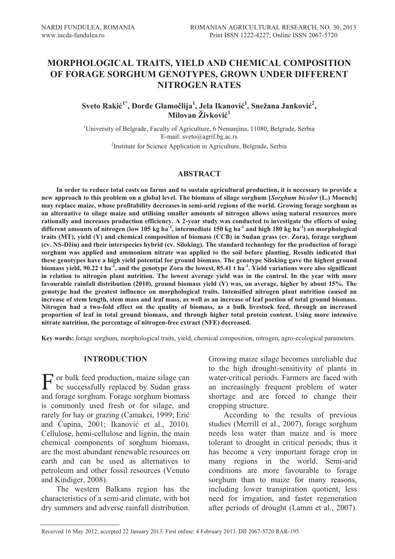# **MORPHOLOGICAL TRAITS, YIELD AND CHEMICAL COMPOSITION OF FORAGE SORGHUM GENOTYPES, GROWN UNDER DIFFERENT NITROGEN RATES**

# $\delta$ Sveto Rakić<sup>1\*</sup>, Đorđe Glamočlija<sup>1</sup>, Jela Ikanović<sup>1</sup>, Snežana Janković<sup>2</sup>, **Milovan Živković1**

<sup>1</sup>University of Belgrade, Faculty of Agriculture, 6 Nemanjina, 11080, Belgrade, Serbia E-mail: sveto@agrif.bg.ac.rs <sup>2</sup>Institute for Science Application in Agriculture, Belgrade, Serbia

#### **ABSTRACT**

**In order to reduce total costs on farms and to sustain agricultural production, it is necessary to provide a new approach to this problem on a global level. The biomass of silage sorghum [***Sorghum bicolor* **(L.) Moench] may replace maize, whose profitability decreases in semi-arid regions of the world. Growing forage sorghum as an alternative to silage maize and utilising smaller amounts of nitrogen allows using natural resources more rationally and increases production efficiency. A 2-year study was conducted to investigate the effects of using different amounts of nitrogen (low 105 kg ha-1, intermediate 150 kg ha-1 and high 180 kg ha-1) on morphological traits (MT), yield (Y) and chemical composition of biomass (CCB) in Sudan grass (cv. Zora), forage sorghum (cv. NS-Džin) and their interspecies hybrid (cv. Siloking). The standard technology for the production of forage sorghum was applied and ammonium nitrate was applied to the soil before planting. Results indicated that these genotypes have a high yield potential for ground biomass. The genotype Siloking gave the highest ground biomass yield, 90.22 t ha-1, and the genotype Zora the lowest, 85.41 t ha-1. Yield variations were also significant in relation to nitrogen plant nutrition. The lowest average yield was in the control. In the year with more favourable rainfall distribution (2010), ground biomass yield (Y) was, on average, higher by about 15%. The genotype had the greatest influence on morphological traits. Intensified nitrogen plant nutrition caused an increase of stem length, stem mass and leaf mass, as well as an increase of leaf portion of total ground biomass. Nitrogen had a two-fold effect on the quality of biomass, as a bulk livestock feed, through an increased proportion of leaf in total ground biomass, and through higher total protein content. Using more intensive nitrate nutrition, the percentage of nitrogen-free extract (NFE) decreased.** 

**Key words:** forage sorghum, morphological traits, yield, chemical composition, nitrogen, agro-ecological parameters.

### **INTRODUCTION**

F or bulk feed production, maize silage can<br>be successfully replaced by Sudan grass be successfully replaced by Sudan grass and forage sorghum. Forage sorghum biomass is commonly used fresh or for silage, and rarely for hay or grazing (Camakci, 1999; Erić and Ćupina, 2001; Ikanović et al., 2010). Cellulose, hemi-cellulose and lignin, the main chemical components of sorghum biomass, are the most abundant renewable resources on earth and can be used as alternatives to petroleum and other fossil resources (Venuto and Kindiger, 2008).

The western Balkans region has the characteristics of a semi-arid climate, with hot dry summers and adverse rainfall distribution. Growing maize silage becomes unreliable due to the high drought-sensitivity of plants in water-critical periods. Farmers are faced with an increasingly frequent problem of water shortage and are forced to change their cropping structure.

According to the results of previous studies (Merrill et al., 2007), forage sorghum needs less water than maize and is more tolerant to drought in critical periods; thus it has become a very important forage crop in many regions in the world. Semi-arid conditions are more favourable to forage sorghum than to maize for many reasons, including lower transpiration quotient, less need for irrigation, and faster regeneration after periods of drought (Lamm et al., 2007).

Received 16 May 2012; accepted 22 January 2013. First online: 4 February 2013. DII 2067-5720 RAR-195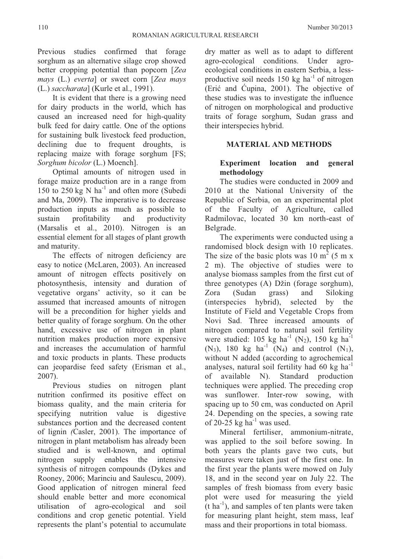Previous studies confirmed that forage sorghum as an alternative silage crop showed better cropping potential than popcorn [*Zea mays* (L.) *everta*] or sweet corn [*Zea mays*  (L.) *saccharata*] (Kurle et al., 1991).

It is evident that there is a growing need for dairy products in the world, which has caused an increased need for high-quality bulk feed for dairy cattle. One of the options for sustaining bulk livestock feed production, declining due to frequent droughts, is replacing maize with forage sorghum [FS; *Sorghum bicolor* (L.) Moench].

Optimal amounts of nitrogen used in forage maize production are in a range from 150 to 250 kg  $N$  ha<sup>-1</sup> and often more (Subedi and Ma, 2009). The imperative is to decrease production inputs as much as possible to sustain profitability and productivity (Marsalis et al., 2010). Nitrogen is an essential element for all stages of plant growth and maturity.

The effects of nitrogen deficiency are easy to notice (McLaren, 2003). An increased amount of nitrogen effects positively on photosynthesis, intensity and duration of vegetative organs' activity, so it can be assumed that increased amounts of nitrogen will be a precondition for higher yields and better quality of forage sorghum. On the other hand, excessive use of nitrogen in plant nutrition makes production more expensive and increases the accumulation of harmful and toxic products in plants. These products can jeopardise feed safety (Erisman et al., 2007).

Previous studies on nitrogen plant nutrition confirmed its positive effect on biomass quality, and the main criteria for specifying nutrition value is digestive substances portion and the decreased content of lignin *(*Casler, 2001). The importance of nitrogen in plant metabolism has already been studied and is well-known, and optimal nitrogen supply enables the intensive synthesis of nitrogen compounds (Dykes and Rooney, 2006; Marinciu and Saulescu, 2009). Good application of nitrogen mineral feed should enable better and more economical utilisation of agro-ecological and soil conditions and crop genetic potential. Yield represents the plant's potential to accumulate dry matter as well as to adapt to different agro-ecological conditions. Under agroecological conditions in eastern Serbia, a lessproductive soil needs  $150 \text{ kg}$  ha<sup>-1</sup> of nitrogen (Erić and Ćupina, 2001). The objective of these studies was to investigate the influence of nitrogen on morphological and productive traits of forage sorghum, Sudan grass and their interspecies hybrid.

# **MATERIAL AND METHODS**

# **Experiment location and general methodology**

The studies were conducted in 2009 and 2010 at the National University of the Republic of Serbia, on an experimental plot of the Faculty of Agriculture, called Radmilovac, located 30 km north-east of Belgrade.

The experiments were conducted using a randomised block design with 10 replicates. The size of the basic plots was 10  $m<sup>2</sup>$  (5 m x 2 m). The objective of studies were to analyse biomass samples from the first cut of three genotypes (A) Džin (forage sorghum), Zora (Sudan grass) and Siloking (interspecies hybrid), selected by the Institute of Field and Vegetable Crops from Novi Sad. Three increased amounts of nitrogen compared to natural soil fertility were studied:  $105$  kg ha<sup>-1</sup> (N<sub>2</sub>), 150 kg ha<sup>-1</sup>  $(N_3)$ , 180 kg ha<sup>-1</sup>  $(N_4)$  and control  $(N_1)$ , without N added (according to agrochemical analyses, natural soil fertility had 60 kg ha $^{-1}$ of available N). Standard production techniques were applied. The preceding crop was sunflower. Inter-row sowing, with spacing up to 50 cm, was conducted on April 24. Depending on the species, a sowing rate of 20-25 kg ha $^{-1}$  was used.

Mineral fertiliser, ammonium-nitrate, was applied to the soil before sowing. In both years the plants gave two cuts, but measures were taken just of the first one. In the first year the plants were mowed on July 18, and in the second year on July 22. The samples of fresh biomass from every basic plot were used for measuring the yield  $(t \text{ ha}^{-1})$ , and samples of ten plants were taken for measuring plant height, stem mass, leaf mass and their proportions in total biomass.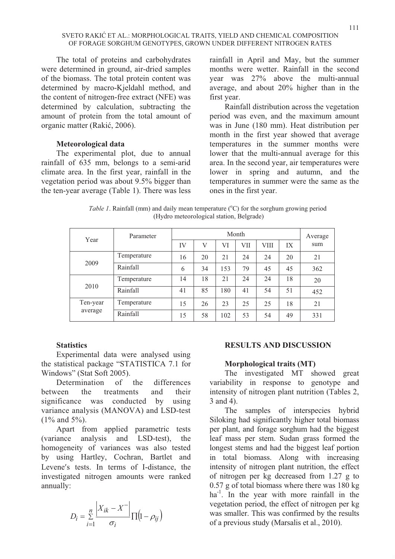The total of proteins and carbohydrates were determined in ground, air-dried samples of the biomass. The total protein content was determined by macro-Kjeldahl method, and the content of nitrogen-free extract (NFE) was determined by calculation, subtracting the amount of protein from the total amount of organic matter (Rakić, 2006).

# **Meteorological data**

The experimental plot, due to annual rainfall of 635 mm, belongs to a semi-arid climate area. In the first year, rainfall in the vegetation period was about 9.5% bigger than the ten-year average (Table 1). There was less

rainfall in April and May, but the summer months were wetter. Rainfall in the second year was 27% above the multi-annual average, and about 20% higher than in the first year.

Rainfall distribution across the vegetation period was even, and the maximum amount was in June (180 mm). Heat distribution per month in the first year showed that average temperatures in the summer months were lower that the multi-annual average for this area. In the second year, air temperatures were lower in spring and autumn, and the temperatures in summer were the same as the ones in the first year.

Table 1. Rainfall (mm) and daily mean temperature (°C) for the sorghum growing period (Hydro meteorological station, Belgrade)

| Year     | Parameter   | Month |    |     |     |      | Average |     |
|----------|-------------|-------|----|-----|-----|------|---------|-----|
|          |             | IV    | V  | VI  | VII | VIII | IX      | sum |
|          | Temperature | 16    | 20 | 21  | 24  | 24   | 20      | 21  |
| 2009     | Rainfall    | 6     | 34 | 153 | 79  | 45   | 45      | 362 |
|          | Temperature | 14    | 18 | 21  | 24  | 24   | 18      | 20  |
| 2010     | Rainfall    | 41    | 85 | 180 | 41  | 54   | 51      | 452 |
| Ten-year | Temperature | 15    | 26 | 23  | 25  | 25   | 18      | 21  |
| average  | Rainfall    | 15    | 58 | 102 | 53  | 54   | 49      | 331 |

# **Statistics**

Experimental data were analysed using the statistical package "STATISTICA 7.1 for Windows" (Stat Soft 2005).

Determination of the differences between the treatments and their significance was conducted by using variance analysis (MANOVA) and LSD-test (1% and 5%).

Apart from applied parametric tests (variance analysis and LSD-test), the homogeneity of variances was also tested by using Hartley, Cochran, Bartlet and Levene's tests. In terms of I-distance, the investigated nitrogen amounts were ranked annually:

$$
D_i = \sum_{i=1}^n \frac{\left| X_{ik} - X^- \right|}{\sigma_i} \prod (1 - \rho_{ij})
$$

# **RESULTS AND DISCUSSION**

#### **Morphological traits (MT)**

The investigated MT showed great variability in response to genotype and intensity of nitrogen plant nutrition (Tables 2, 3 and 4).

The samples of interspecies hybrid Siloking had significantly higher total biomass per plant, and forage sorghum had the biggest leaf mass per stem. Sudan grass formed the longest stems and had the biggest leaf portion in total biomass. Along with increasing intensity of nitrogen plant nutrition, the effect of nitrogen per kg decreased from 1.27 g to 0.57 g of total biomass where there was 180 kg ha<sup>-1</sup>. In the year with more rainfall in the vegetation period, the effect of nitrogen per kg was smaller. This was confirmed by the results of a previous study (Marsalis et al., 2010).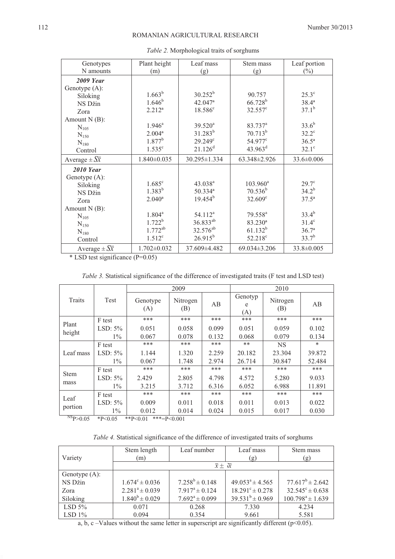| Genotypes                   | Plant height         | Leaf mass             | Stem mass           | Leaf portion      |
|-----------------------------|----------------------|-----------------------|---------------------|-------------------|
| N amounts                   | (m)                  | (g)                   | (g)                 | $(\%)$            |
| 2009 Year                   |                      |                       |                     |                   |
| Genotype (A):               |                      |                       |                     |                   |
| Siloking                    | $1.663^{b}$          | $30.252^{b}$          | 90.757              | $25.3^{\circ}$    |
| NS Džin                     | $1.646^{b}$          | $42.047$ <sup>a</sup> | $66.728^{b}$        | $38.4^{\rm a}$    |
| Zora                        | $2.212^{a}$          | $18.586^c$            | $32.557^{\circ}$    | $37.1^{b}$        |
| Amount $N(B)$ :             |                      |                       |                     |                   |
| $N_{105}$                   | $1.946^a$            | $39.520^a$            | 83.737 <sup>a</sup> | $33.6^{b}$        |
| $N_{150}$                   | 2.004 <sup>a</sup>   | $31.283^{b}$          | $70.713^{b}$        | $32.2^{\circ}$    |
| $N_{180}$                   | $1.877^b$            | $29.249^c$            | 54.977 <sup>c</sup> | $36.5^{\rm a}$    |
| Control                     | 1.535 <sup>c</sup>   | $21.126$ <sup>d</sup> | $43.963^{\rm d}$    | $32.1^\circ$      |
| Average $\pm \sqrt{X}$      | $1.840\pm0.035$      | 30.295±1.334          | $63.348 \pm 2.926$  | $33.6 \pm 0.006$  |
| <b>2010 Year</b>            |                      |                       |                     |                   |
| Genotype (A):               |                      |                       |                     |                   |
| Siloking                    | $1.685$ <sup>c</sup> | $43.038^{a}$          | $103.960^a$         | $29.7^\circ$      |
| NS Džin                     | $1.383^{b}$          | 50.334 <sup>a</sup>   | $70.536^{b}$        | $34.2^{b}$        |
| Zora                        | $2.040^{\rm a}$      | $19.454^{b}$          | $32.609^{\circ}$    | $37.5^{\circ}$    |
| Amount $N(B)$ :             |                      |                       |                     |                   |
| $N_{105}$                   | $1.804^a$            | $54.112^a$            | 79.558 <sup>a</sup> | $33.4^{b}$        |
| $N_{150}$                   | $1.722^b$            | 36.833 <sup>ab</sup>  | 83.230 <sup>a</sup> | $31.4^\circ$      |
| $N_{180}$                   | $1.772^{ab}$         | 32.576 <sup>ab</sup>  | $61.132^{b}$        | 36.7 <sup>a</sup> |
| Control                     | $1.512^c$            | $26.915^{b}$          | $52.218^{\circ}$    | $33.7^{b}$        |
| Average $\pm S\overline{x}$ | $1.702 \pm 0.032$    | 37.609±4.482          | $69.034 \pm 3.206$  | 33.8±0.005        |

*Table 2.* Morphological traits of sorghums

\* LSD test significance (P=0.05)

*Table 3.* Statistical significance of the difference of investigated traits (F test and LSD test)

|                                    |                       |                 | 2009            |       | 2010                |                 |        |  |
|------------------------------------|-----------------------|-----------------|-----------------|-------|---------------------|-----------------|--------|--|
| Traits                             | Test                  | Genotype<br>(A) | Nitrogen<br>(B) | AB    | Genotyp<br>e<br>(A) | Nitrogen<br>(B) | AB     |  |
| Plant                              | F test                | ***             | ***             | ***   | ***                 | ***             | ***    |  |
| height                             | LSD: $5\%$            | 0.051           | 0.058           | 0.099 | 0.051               | 0.059           | 0.102  |  |
|                                    | $1\%$                 | 0.067           | 0.078           | 0.132 | 0.068               | 0.079           | 0.134  |  |
|                                    | F test                | ***             | ***             | ***   | $**$                | <b>NS</b>       | *      |  |
| Leaf mass                          | LSD: $5\%$            | 1.144           | 1.320           | 2.259 | 20.182              | 23.304          | 39.872 |  |
|                                    | $1\%$                 | 0.067           | 1.748           | 2.974 | 26.714              | 30.847          | 52.484 |  |
| <b>Stem</b>                        | F test                | ***             | ***             | ***   | ***                 | ***             | ***    |  |
|                                    | LSD: $5\%$            | 2.429           | 2.805           | 4.798 | 4.572               | 5.280           | 9.033  |  |
| mass                               | $1\%$                 | 3.215           | 3.712           | 6.316 | 6.052               | 6.988           | 11.891 |  |
|                                    | F test                | ***             | ***             | ***   | ***                 | ***             | ***    |  |
| Leaf                               | LSD: $5\%$            | 0.009           | 0.011           | 0.018 | 0.011               | 0.013           | 0.022  |  |
| portion<br>$NSR$ $\alpha$ $\sigma$ | $1\%$<br>$\mathbf{A}$ | 0.012           | 0.014           | 0.024 | 0.015               | 0.017           | 0.030  |  |

 ${}^{8}P>0.05$  \*P<0.05 \*\*P<0.01 \*\*\*=P<0.001

|  | Table 4. Statistical significance of the difference of investigated traits of sorghums |  |  |  |
|--|----------------------------------------------------------------------------------------|--|--|--|
|  |                                                                                        |  |  |  |

| Variety          | Stem length<br>(m)        | Leaf number                     | Leaf mass<br>(g)           | Stem mass<br>(g)           |
|------------------|---------------------------|---------------------------------|----------------------------|----------------------------|
|                  |                           | $\overline{x} \pm \overline{x}$ |                            |                            |
| Genotype $(A)$ : |                           |                                 |                            |                            |
| NS Džin          | $1.674^{\circ} \pm 0.036$ | $7.258^b \pm 0.148$             | $49.053^a \pm 4.565$       | $77.617^b \pm 2.642$       |
| Zora             | $2.281^a \pm 0.039$       | $7.917^a \pm 0.124$             | $18.291^{\circ} \pm 0.278$ | $32.545^{\circ} \pm 0.638$ |
| Siloking         | $1.840^b \pm 0.029$       | $7.692^a \pm 0.099$             | $39.531^{b} \pm 0.969$     | $100.798^a \pm 1.639$      |
| LSD $5\%$        | 0.071                     | 0.268                           | 7.330                      | 4.234                      |
| LSD $1\%$        | 0.094                     | 0.354                           | 9.661                      | 5.581                      |

a, b, c –Values without the same letter in superscript are significantly different ( $p<0.05$ ).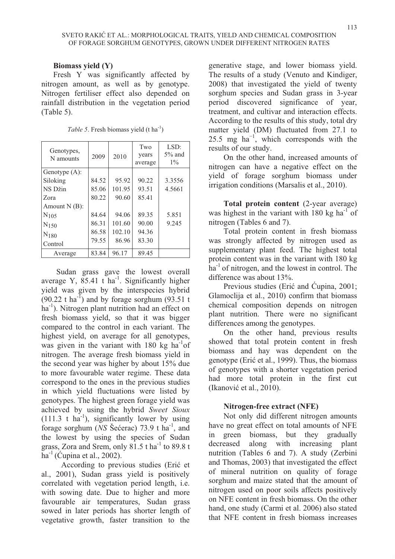# **Biomass yield (Y)**

Fresh Y was significantly affected by nitrogen amount, as well as by genotype. Nitrogen fertiliser effect also depended on rainfall distribution in the vegetation period (Table 5).

| Genotypes,<br>N amounts | 2009  | 2010   | Two<br>years<br>average | LSD:<br>$5\%$ and<br>$1\%$ |
|-------------------------|-------|--------|-------------------------|----------------------------|
| Genotype $(A)$ :        |       |        |                         |                            |
| Siloking                | 84.52 | 95.92  | 90.22                   | 3.3556                     |
| NS Džin                 | 85.06 | 101.95 | 93.51                   | 4.5661                     |
| Zora                    | 80.22 | 90.60  | 85.41                   |                            |
| Amount $N(B)$ :         |       |        |                         |                            |
| $N_{105}$               | 84.64 | 94.06  | 89.35                   | 5.851                      |
| $N_{150}$               | 86.31 | 101.60 | 90.00                   | 9.245                      |
| $N_{180}$               | 86.58 | 102.10 | 94.36                   |                            |
| Control                 | 79.55 | 86.96  | 83.30                   |                            |
| Average                 | 83.84 | 96.17  | 89.45                   |                            |

*Table 5*. Fresh biomass yield  $(t \text{ ha}^{-1})$ 

Sudan grass gave the lowest overall average Y,  $85.41$  t ha<sup>-1</sup>. Significantly higher yield was given by the interspecies hybrid  $(90.22 \text{ t} \text{ ha}^{-1})$  and by forage sorghum  $(93.51 \text{ t} \text{ h})$  $ha^{-1}$ ). Nitrogen plant nutrition had an effect on fresh biomass yield, so that it was bigger compared to the control in each variant. The highest yield, on average for all genotypes, was given in the variant with 180 kg ha<sup>-1</sup>of nitrogen. The average fresh biomass yield in the second year was higher by about 15% due to more favourable water regime. These data correspond to the ones in the previous studies in which yield fluctuations were listed by genotypes. The highest green forage yield was achieved by using the hybrid *Sweet Sioux*   $(111.3 \text{ t} \text{ ha}^{-1})$ , significantly lower by using forage sorghum (*NS* Šećerac) 73.9 t ha-1, and the lowest by using the species of Sudan grass, Zora and Srem, only  $81.5$  t ha<sup>-1</sup> to  $89.8$  t ha $^{-1}$  (Cupina et al., 2002).

According to previous studies (Erić et al., 2001), Sudan grass yield is positively correlated with vegetation period length, i.e. with sowing date. Due to higher and more favourable air temperatures, Sudan grass sowed in later periods has shorter length of vegetative growth, faster transition to the

generative stage, and lower biomass yield. The results of a study (Venuto and Kindiger, 2008) that investigated the yield of twenty sorghum species and Sudan grass in 3-year period discovered significance of year, treatment, and cultivar and interaction effects. According to the results of this study, total dry matter yield (DM) fluctuated from 27.1 to 25.5 mg ha<sup> $-1$ </sup>, which corresponds with the results of our study.

On the other hand, increased amounts of nitrogen can have a negative effect on the yield of forage sorghum biomass under irrigation conditions (Marsalis et al., 2010).

**Total protein content** (2-year average) was highest in the variant with  $180 \text{ kg ha}^{-1}$  of nitrogen (Tables 6 and 7).

Total protein content in fresh biomass was strongly affected by nitrogen used as supplementary plant feed. The highest total protein content was in the variant with 180 kg  $ha^{-1}$  of nitrogen, and the lowest in control. The difference was about 13%.

Previous studies (Erić and Ćupina, 2001; Glamoclija et al., 2010) confirm that biomass chemical composition depends on nitrogen plant nutrition. There were no significant differences among the genotypes.

On the other hand, previous results showed that total protein content in fresh biomass and hay was dependent on the genotype (Erić et al., 1999). Thus, the biomass of genotypes with a shorter vegetation period had more total protein in the first cut (Ikanović et al., 2010).

#### **Nitrogen-free extract (NFE)**

Not only did different nitrogen amounts have no great effect on total amounts of NFE in green biomass, but they gradually decreased along with increasing plant nutrition (Tables 6 and 7). A study (Zerbini and Thomas, 2003) that investigated the effect of mineral nutrition on quality of forage sorghum and maize stated that the amount of nitrogen used on poor soils affects positively on NFE content in fresh biomass. On the other hand, one study (Carmi et al. 2006) also stated that NFE content in fresh biomass increases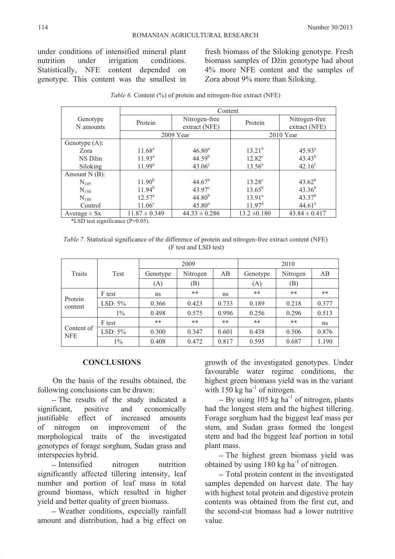under conditions of intensified mineral plant nutrition under irrigation conditions. Statistically, NFE content depended on genotype. This content was the smallest in

fresh biomass of the Siloking genotype. Fresh biomass samples of Džin genotype had about 4% more NFE content and the samples of Zora about 9% more than Siloking.

|                  | Content            |                    |                    |                    |  |  |  |  |
|------------------|--------------------|--------------------|--------------------|--------------------|--|--|--|--|
| Genotype         |                    | Nitrogen-free      |                    | Nitrogen-free      |  |  |  |  |
| N amounts        | Protein            | extract (NFE)      | Protein            | extract (NFE)      |  |  |  |  |
|                  |                    |                    |                    |                    |  |  |  |  |
|                  |                    | 2009 Year          |                    | $2010$ Year        |  |  |  |  |
| Genotype $(A)$ : |                    |                    |                    |                    |  |  |  |  |
| Zora             | $11.68^{\rm a}$    | 46.80 <sup>a</sup> | $13.21^{b}$        | $45.93^{\circ}$    |  |  |  |  |
| NS Džin          | 11.93 <sup>a</sup> | 44.59 <sup>b</sup> | $12.82^c$          | $43.43^{b}$        |  |  |  |  |
| Siloking         | 11.99 <sup>a</sup> | $43.06^{\circ}$    | $13.56^a$          | $42.16^{\circ}$    |  |  |  |  |
| Amount $N(B)$ :  |                    |                    |                    |                    |  |  |  |  |
| $N_{105}$        | 11.90 <sup>b</sup> | $44.67^b$          | $13.28^{\circ}$    | $43.62^{b}$        |  |  |  |  |
| $N_{150}$        | $11.94^{b}$        | $43.97^{\circ}$    | $13.65^{\rm b}$    | $43.36^{b}$        |  |  |  |  |
| $N_{180}$        | $12.57^{\circ}$    | $44.80^{b}$        | 13.91 <sup>a</sup> | $43.37^{b}$        |  |  |  |  |
| Control          | $11.06^{\circ}$    | $45.80^{\rm a}$    | 11.97 <sup>d</sup> | 44.61 <sup>a</sup> |  |  |  |  |
| Average $\pm$ Sx | $11.87 \pm 0.349$  | $44.33 \pm 0.286$  | $13.2 \pm 0.180$   | $43.84 \pm 0.417$  |  |  |  |  |
|                  |                    |                    |                    |                    |  |  |  |  |

| Table 6. Content (%) of protein and nitrogen-free extract (NFE) |  |
|-----------------------------------------------------------------|--|
|-----------------------------------------------------------------|--|

\*LSD test significance (P=0.05).

*Table 7.* Statistical significance of the difference of protein and nitrogen-free extract content (NFE) (F test and LSD test)

|                          |            |          | 2009     |       | 2010     |          |       |  |
|--------------------------|------------|----------|----------|-------|----------|----------|-------|--|
| <b>Traits</b>            | Test       | Genotype | Nitrogen | AB    | Genotype | Nitrogen | AB    |  |
|                          |            | (A)      | (B)      |       | (A)      | (B)      |       |  |
|                          | F test     | ns       | **       | ns    | **       | **       | **    |  |
| Protein<br>content       | LSD: $5\%$ | 0.366    | 0.423    | 0.733 | 0.189    | 0.218    | 0.377 |  |
|                          | $1\%$      | 0.498    | 0.575    | 0.996 | 0.256    | 0.296    | 0.513 |  |
| Content of<br><b>NFE</b> | F test     | **       | **       | $***$ | $***$    | **       | ns    |  |
|                          | LSD: $5\%$ | 0.300    | 0.347    | 0.601 | 0.438    | 0.506    | 0.876 |  |
|                          | $1\%$      | 0.408    | 0.472    | 0.817 | 0.595    | 0.687    | 1.190 |  |

#### **CONCLUSIONS**

On the basis of the results obtained, the following conclusions can be drawn:

- The results of the study indicated a significant, positive and economically justifiable effect of increased amounts of nitrogen on improvement of the morphological traits of the investigated genotypes of forage sorghum, Sudan grass and interspecies hybrid.

- Intensified nitrogen nutrition significantly affected tillering intensity, leaf number and portion of leaf mass in total ground biomass, which resulted in higher yield and better quality of green biomass.

 Weather conditions, especially rainfall amount and distribution, had a big effect on

growth of the investigated genotypes. Under favourable water regime conditions, the highest green biomass yield was in the variant with  $150 \text{ kg}$  ha<sup>-1</sup> of nitrogen.

 $-$  By using 105 kg ha<sup>-1</sup> of nitrogen, plants had the longest stem and the highest tillering. Forage sorghum had the biggest leaf mass per stem, and Sudan grass formed the longest stem and had the biggest leaf portion in total plant mass.

- The highest green biomass yield was obtained by using  $180 \text{ kg}$  ha<sup>-1</sup> of nitrogen.

 Total protein content in the investigated samples depended on harvest date. The hay with highest total protein and digestive protein contents was obtained from the first cut, and the second-cut biomass had a lower nutritive value.